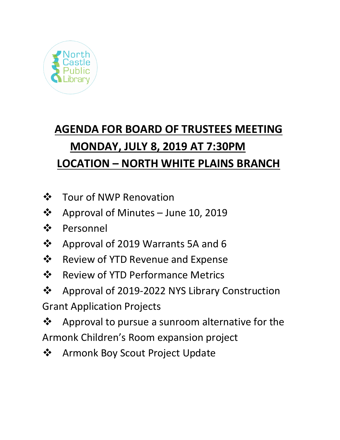

# **AGENDA FOR BOARD OF TRUSTEES MEETING MONDAY, JULY 8, 2019 AT 7:30PM LOCATION – NORTH WHITE PLAINS BRANCH**

- ❖ Tour of NWP Renovation
- ❖ Approval of Minutes June 10, 2019
- Personnel
- ❖ Approval of 2019 Warrants 5A and 6
- ❖ Review of YTD Revenue and Expense
- ❖ Review of YTD Performance Metrics
- Approval of 2019-2022 NYS Library Construction Grant Application Projects
- Approval to pursue a sunroom alternative for the Armonk Children's Room expansion project
- ❖ Armonk Boy Scout Project Update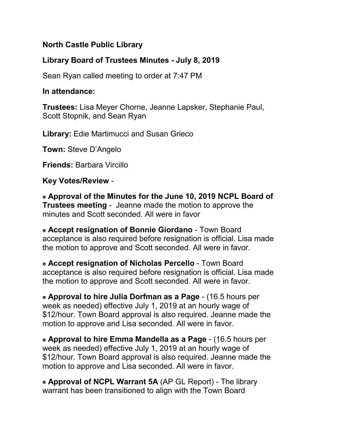## **North Castle Public Library**

# **Library Board of Trustees Minutes - July 8, 2019**

Sean Ryan called meeting to order at 7:47 PM

#### **In attendance:**

**Trustees:** Lisa Meyer Chorne, Jeanne Lapsker, Stephanie Paul, Scott Stopnik, and Sean Ryan

**Library:** Edie Martimucci and Susan Grieco

**Town:** Steve D'Angelo

**Friends:** Barbara Vircillo

**Key Votes/Review** -

**Approval of the Minutes for the June 10, 2019 NCPL Board of Trustees meeting** - Jeanne made the motion to approve the minutes and Scott seconded. All were in favor

**Accept resignation of Bonnie Giordano** - Town Board acceptance is also required before resignation is official. Lisa made the motion to approve and Scott seconded. All were in favor.

**Accept resignation of Nicholas Percello** - Town Board acceptance is also required before resignation is official. Lisa made the motion to approve and Scott seconded. All were in favor.

**Approval to hire Julia Dorfman as a Page** - (16.5 hours per week as needed) effective July 1, 2019 at an hourly wage of \$12/hour. Town Board approval is also required. Jeanne made the motion to approve and Lisa seconded. All were in favor.

**Approval to hire Emma Mandella as a Page** - (16.5 hours per week as needed) effective July 1, 2019 at an hourly wage of \$12/hour. Town Board approval is also required. Jeanne made the motion to approve and Lisa seconded. All were in favor.

**Approval of NCPL Warrant 5A** (AP GL Report) - The library warrant has been transitioned to align with the Town Board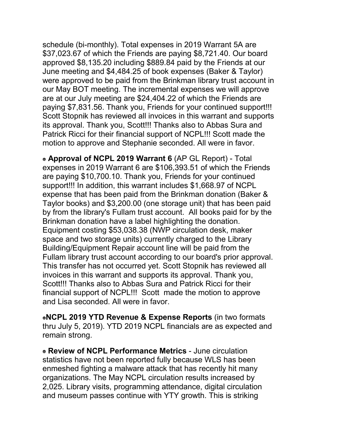schedule (bi-monthly). Total expenses in 2019 Warrant 5A are \$37,023.67 of which the Friends are paying \$8,721.40. Our board approved \$8,135.20 including \$889.84 paid by the Friends at our June meeting and \$4,484.25 of book expenses (Baker & Taylor) were approved to be paid from the Brinkman library trust account in our May BOT meeting. The incremental expenses we will approve are at our July meeting are \$24,404.22 of which the Friends are paying \$7,831.56. Thank you, Friends for your continued support!!! Scott Stopnik has reviewed all invoices in this warrant and supports its approval. Thank you, Scott!!! Thanks also to Abbas Sura and Patrick Ricci for their financial support of NCPL!!! Scott made the motion to approve and Stephanie seconded. All were in favor.

**Approval of NCPL 2019 Warrant 6** (AP GL Report) - Total expenses in 2019 Warrant 6 are \$106,393.51 of which the Friends are paying \$10,700.10. Thank you, Friends for your continued support!!! In addition, this warrant includes \$1,668.97 of NCPL expense that has been paid from the Brinkman donation (Baker & Taylor books) and \$3,200.00 (one storage unit) that has been paid by from the library's Fullam trust account. All books paid for by the Brinkman donation have a label highlighting the donation. Equipment costing \$53,038.38 (NWP circulation desk, maker space and two storage units) currently charged to the Library Building/Equipment Repair account line will be paid from the Fullam library trust account according to our board's prior approval. This transfer has not occurred yet. Scott Stopnik has reviewed all invoices in this warrant and supports its approval. Thank you, Scott!!! Thanks also to Abbas Sura and Patrick Ricci for their financial support of NCPL!!! Scott made the motion to approve and Lisa seconded. All were in favor.

**NCPL 2019 YTD Revenue & Expense Reports** (in two formats thru July 5, 2019). YTD 2019 NCPL financials are as expected and remain strong.

**Review of NCPL Performance Metrics** - June circulation statistics have not been reported fully because WLS has been enmeshed fighting a malware attack that has recently hit many organizations. The May NCPL circulation results increased by 2,025. Library visits, programming attendance, digital circulation and museum passes continue with YTY growth. This is striking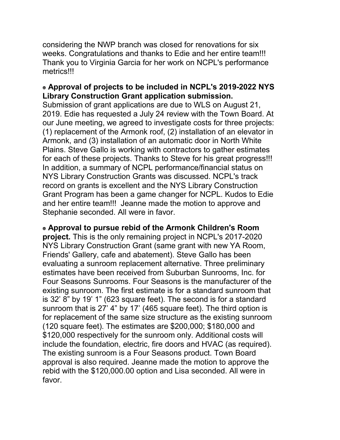considering the NWP branch was closed for renovations for six weeks. Congratulations and thanks to Edie and her entire team!!! Thank you to Virginia Garcia for her work on NCPL's performance metrics!!!

# **Approval of projects to be included in NCPL's 2019-2022 NYS Library Construction Grant application submission.**

Submission of grant applications are due to WLS on August 21, 2019. Edie has requested a July 24 review with the Town Board. At our June meeting, we agreed to investigate costs for three projects: (1) replacement of the Armonk roof, (2) installation of an elevator in Armonk, and (3) installation of an automatic door in North White Plains. Steve Gallo is working with contractors to gather estimates for each of these projects. Thanks to Steve for his great progress!!! In addition, a summary of NCPL performance/financial status on NYS Library Construction Grants was discussed. NCPL's track record on grants is excellent and the NYS Library Construction Grant Program has been a game changer for NCPL. Kudos to Edie and her entire team!!! Jeanne made the motion to approve and Stephanie seconded. All were in favor.

**Approval to pursue rebid of the Armonk Children's Room project.** This is the only remaining project in NCPL's 2017-2020 NYS Library Construction Grant (same grant with new YA Room, Friends' Gallery, cafe and abatement). Steve Gallo has been evaluating a sunroom replacement alternative. Three preliminary estimates have been received from Suburban Sunrooms, Inc. for Four Seasons Sunrooms. Four Seasons is the manufacturer of the existing sunroom. The first estimate is for a standard sunroom that is 32' 8" by 19' 1" (623 square feet). The second is for a standard sunroom that is 27' 4" by 17' (465 square feet). The third option is for replacement of the same size structure as the existing sunroom (120 square feet). The estimates are \$200,000; \$180,000 and \$120,000 respectively for the sunroom only. Additional costs will include the foundation, electric, fire doors and HVAC (as required). The existing sunroom is a Four Seasons product. Town Board approval is also required. Jeanne made the motion to approve the rebid with the \$120,000.00 option and Lisa seconded. All were in favor.